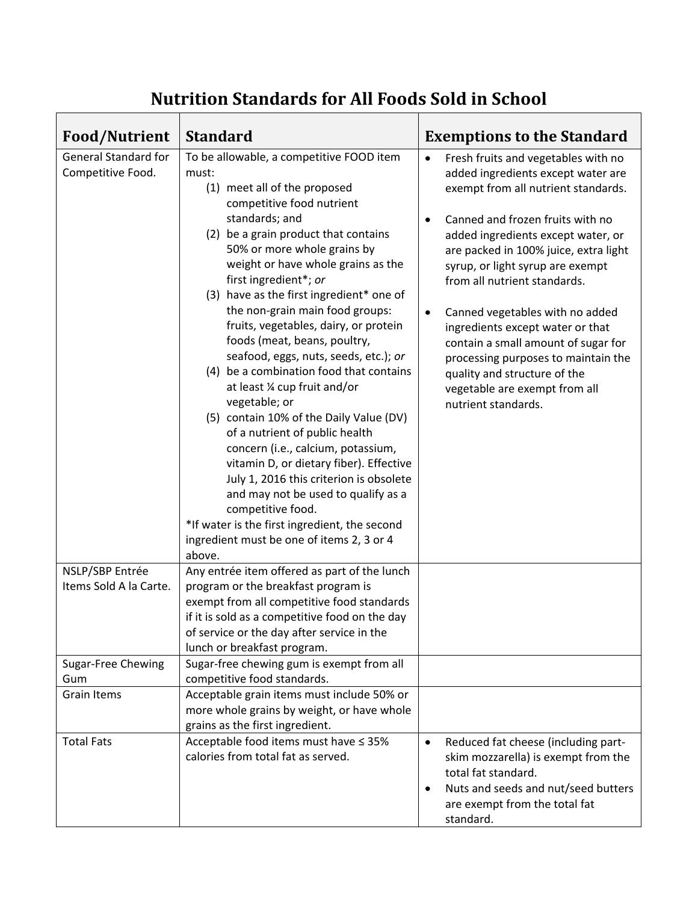## **Nutrition Standards for All Foods Sold in School**

| <b>Food/Nutrient</b>                             | <b>Standard</b>                                                                                                                                                                                                                                                                                                                                                                                                                                                                                                                                                                                                                                                                                                                                                                                                                                                                                                                                   | <b>Exemptions to the Standard</b>                                                                                                                                                                                                                                                                                                                                                                                                                                                                                                                                                           |
|--------------------------------------------------|---------------------------------------------------------------------------------------------------------------------------------------------------------------------------------------------------------------------------------------------------------------------------------------------------------------------------------------------------------------------------------------------------------------------------------------------------------------------------------------------------------------------------------------------------------------------------------------------------------------------------------------------------------------------------------------------------------------------------------------------------------------------------------------------------------------------------------------------------------------------------------------------------------------------------------------------------|---------------------------------------------------------------------------------------------------------------------------------------------------------------------------------------------------------------------------------------------------------------------------------------------------------------------------------------------------------------------------------------------------------------------------------------------------------------------------------------------------------------------------------------------------------------------------------------------|
| <b>General Standard for</b><br>Competitive Food. | To be allowable, a competitive FOOD item<br>must:<br>(1) meet all of the proposed<br>competitive food nutrient<br>standards; and<br>(2) be a grain product that contains<br>50% or more whole grains by<br>weight or have whole grains as the<br>first ingredient*; or<br>(3) have as the first ingredient* one of<br>the non-grain main food groups:<br>fruits, vegetables, dairy, or protein<br>foods (meat, beans, poultry,<br>seafood, eggs, nuts, seeds, etc.); or<br>(4) be a combination food that contains<br>at least 1/4 cup fruit and/or<br>vegetable; or<br>(5) contain 10% of the Daily Value (DV)<br>of a nutrient of public health<br>concern (i.e., calcium, potassium,<br>vitamin D, or dietary fiber). Effective<br>July 1, 2016 this criterion is obsolete<br>and may not be used to qualify as a<br>competitive food.<br>*If water is the first ingredient, the second<br>ingredient must be one of items 2, 3 or 4<br>above. | Fresh fruits and vegetables with no<br>$\bullet$<br>added ingredients except water are<br>exempt from all nutrient standards.<br>Canned and frozen fruits with no<br>$\bullet$<br>added ingredients except water, or<br>are packed in 100% juice, extra light<br>syrup, or light syrup are exempt<br>from all nutrient standards.<br>Canned vegetables with no added<br>$\bullet$<br>ingredients except water or that<br>contain a small amount of sugar for<br>processing purposes to maintain the<br>quality and structure of the<br>vegetable are exempt from all<br>nutrient standards. |
| NSLP/SBP Entrée<br>Items Sold A la Carte.        | Any entrée item offered as part of the lunch<br>program or the breakfast program is<br>exempt from all competitive food standards<br>if it is sold as a competitive food on the day<br>of service or the day after service in the<br>lunch or breakfast program.                                                                                                                                                                                                                                                                                                                                                                                                                                                                                                                                                                                                                                                                                  |                                                                                                                                                                                                                                                                                                                                                                                                                                                                                                                                                                                             |
| Sugar-Free Chewing<br>Gum                        | Sugar-free chewing gum is exempt from all<br>competitive food standards.                                                                                                                                                                                                                                                                                                                                                                                                                                                                                                                                                                                                                                                                                                                                                                                                                                                                          |                                                                                                                                                                                                                                                                                                                                                                                                                                                                                                                                                                                             |
| <b>Grain Items</b>                               | Acceptable grain items must include 50% or<br>more whole grains by weight, or have whole<br>grains as the first ingredient.                                                                                                                                                                                                                                                                                                                                                                                                                                                                                                                                                                                                                                                                                                                                                                                                                       |                                                                                                                                                                                                                                                                                                                                                                                                                                                                                                                                                                                             |
| <b>Total Fats</b>                                | Acceptable food items must have ≤ 35%<br>calories from total fat as served.                                                                                                                                                                                                                                                                                                                                                                                                                                                                                                                                                                                                                                                                                                                                                                                                                                                                       | Reduced fat cheese (including part-<br>$\bullet$<br>skim mozzarella) is exempt from the<br>total fat standard.<br>Nuts and seeds and nut/seed butters<br>$\bullet$<br>are exempt from the total fat<br>standard.                                                                                                                                                                                                                                                                                                                                                                            |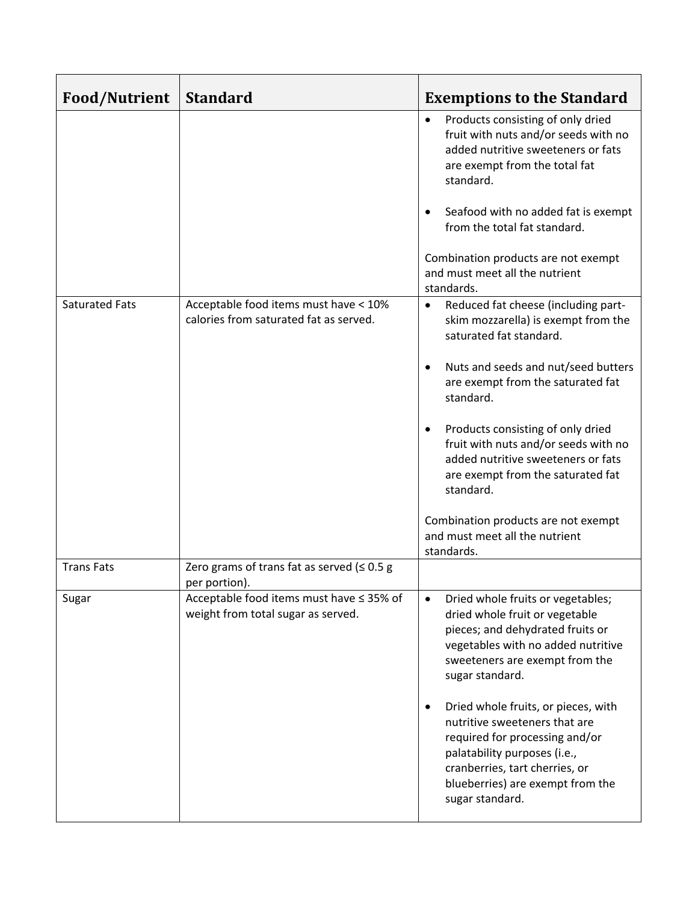| <b>Food/Nutrient</b>  | <b>Standard</b>                                                                 | <b>Exemptions to the Standard</b>                                                                                                                                                                                                                                                                                                                                                                                                                               |
|-----------------------|---------------------------------------------------------------------------------|-----------------------------------------------------------------------------------------------------------------------------------------------------------------------------------------------------------------------------------------------------------------------------------------------------------------------------------------------------------------------------------------------------------------------------------------------------------------|
|                       |                                                                                 | Products consisting of only dried<br>$\bullet$<br>fruit with nuts and/or seeds with no<br>added nutritive sweeteners or fats<br>are exempt from the total fat<br>standard.                                                                                                                                                                                                                                                                                      |
|                       |                                                                                 | Seafood with no added fat is exempt<br>$\bullet$<br>from the total fat standard.                                                                                                                                                                                                                                                                                                                                                                                |
|                       |                                                                                 | Combination products are not exempt<br>and must meet all the nutrient<br>standards.                                                                                                                                                                                                                                                                                                                                                                             |
| <b>Saturated Fats</b> | Acceptable food items must have < 10%<br>calories from saturated fat as served. | Reduced fat cheese (including part-<br>$\bullet$<br>skim mozzarella) is exempt from the<br>saturated fat standard.                                                                                                                                                                                                                                                                                                                                              |
|                       |                                                                                 | Nuts and seeds and nut/seed butters<br>$\bullet$<br>are exempt from the saturated fat<br>standard.                                                                                                                                                                                                                                                                                                                                                              |
|                       |                                                                                 | Products consisting of only dried<br>$\bullet$<br>fruit with nuts and/or seeds with no<br>added nutritive sweeteners or fats<br>are exempt from the saturated fat<br>standard.                                                                                                                                                                                                                                                                                  |
|                       |                                                                                 | Combination products are not exempt<br>and must meet all the nutrient<br>standards.                                                                                                                                                                                                                                                                                                                                                                             |
| <b>Trans Fats</b>     | Zero grams of trans fat as served ( $\leq 0.5$ g<br>per portion).               |                                                                                                                                                                                                                                                                                                                                                                                                                                                                 |
| Sugar                 | Acceptable food items must have ≤ 35% of<br>weight from total sugar as served.  | Dried whole fruits or vegetables;<br>$\bullet$<br>dried whole fruit or vegetable<br>pieces; and dehydrated fruits or<br>vegetables with no added nutritive<br>sweeteners are exempt from the<br>sugar standard.<br>Dried whole fruits, or pieces, with<br>$\bullet$<br>nutritive sweeteners that are<br>required for processing and/or<br>palatability purposes (i.e.,<br>cranberries, tart cherries, or<br>blueberries) are exempt from the<br>sugar standard. |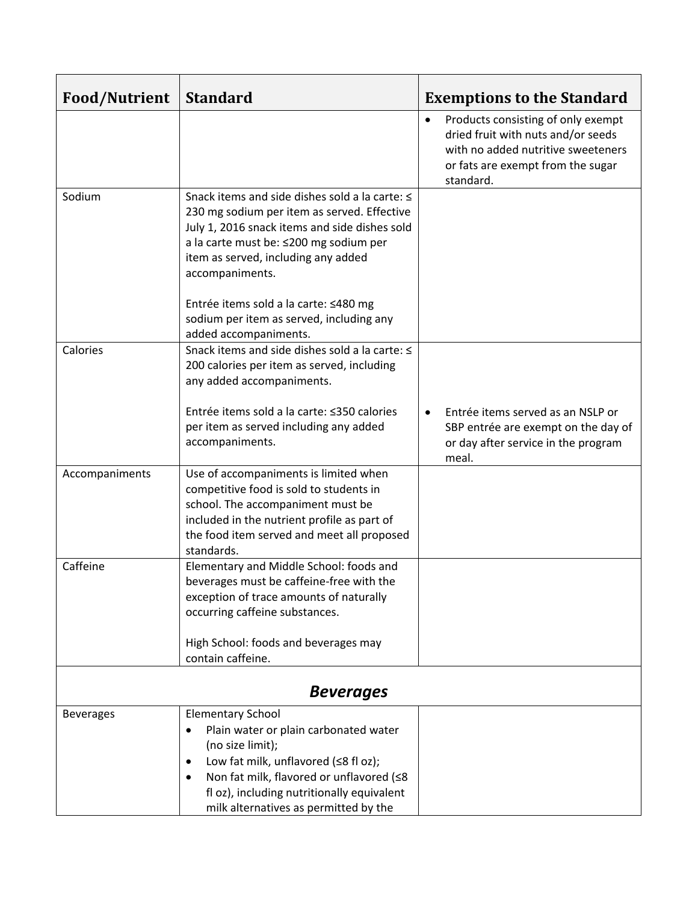| <b>Food/Nutrient</b> | <b>Standard</b>                                                                                                                                                                                                                                                       | <b>Exemptions to the Standard</b>                                                                                                                                             |  |  |
|----------------------|-----------------------------------------------------------------------------------------------------------------------------------------------------------------------------------------------------------------------------------------------------------------------|-------------------------------------------------------------------------------------------------------------------------------------------------------------------------------|--|--|
|                      |                                                                                                                                                                                                                                                                       | Products consisting of only exempt<br>$\bullet$<br>dried fruit with nuts and/or seeds<br>with no added nutritive sweeteners<br>or fats are exempt from the sugar<br>standard. |  |  |
| Sodium               | Snack items and side dishes sold a la carte: ≤<br>230 mg sodium per item as served. Effective<br>July 1, 2016 snack items and side dishes sold<br>a la carte must be: ≤200 mg sodium per<br>item as served, including any added<br>accompaniments.                    |                                                                                                                                                                               |  |  |
|                      | Entrée items sold a la carte: ≤480 mg<br>sodium per item as served, including any<br>added accompaniments.                                                                                                                                                            |                                                                                                                                                                               |  |  |
| Calories             | Snack items and side dishes sold a la carte: ≤<br>200 calories per item as served, including<br>any added accompaniments.                                                                                                                                             |                                                                                                                                                                               |  |  |
|                      | Entrée items sold a la carte: ≤350 calories<br>per item as served including any added<br>accompaniments.                                                                                                                                                              | Entrée items served as an NSLP or<br>$\bullet$<br>SBP entrée are exempt on the day of<br>or day after service in the program<br>meal.                                         |  |  |
| Accompaniments       | Use of accompaniments is limited when<br>competitive food is sold to students in<br>school. The accompaniment must be<br>included in the nutrient profile as part of<br>the food item served and meet all proposed<br>standards.                                      |                                                                                                                                                                               |  |  |
| Caffeine             | Elementary and Middle School: foods and<br>beverages must be caffeine-free with the<br>exception of trace amounts of naturally<br>occurring caffeine substances.                                                                                                      |                                                                                                                                                                               |  |  |
|                      | High School: foods and beverages may<br>contain caffeine.                                                                                                                                                                                                             |                                                                                                                                                                               |  |  |
| <b>Beverages</b>     |                                                                                                                                                                                                                                                                       |                                                                                                                                                                               |  |  |
| <b>Beverages</b>     | <b>Elementary School</b><br>Plain water or plain carbonated water<br>(no size limit);<br>Low fat milk, unflavored (≤8 fl oz);<br>٠<br>Non fat milk, flavored or unflavored (≤8<br>fl oz), including nutritionally equivalent<br>milk alternatives as permitted by the |                                                                                                                                                                               |  |  |